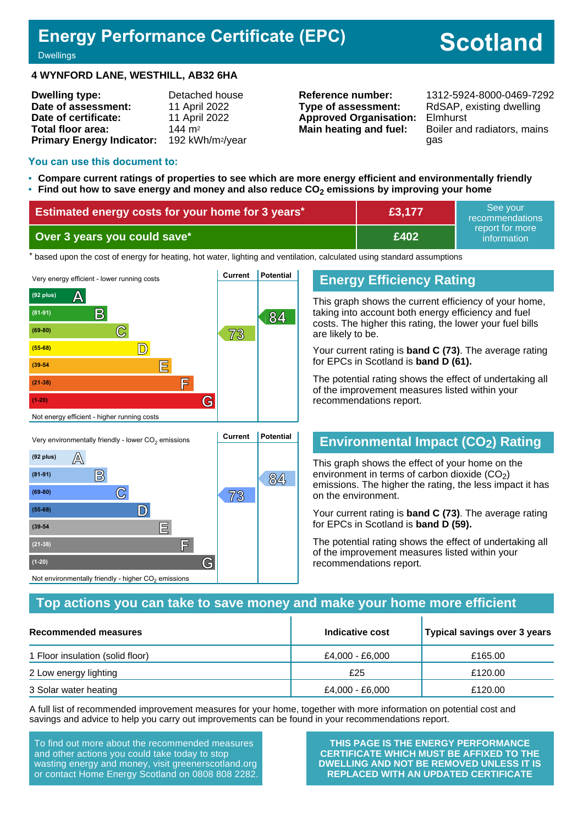# **Energy Performance Certificate (EPC)**

# **Scotland**

#### **Dwellings**

#### **4 WYNFORD LANE, WESTHILL, AB32 6HA**

| <b>Dwelling type:</b>            | Detached house               |
|----------------------------------|------------------------------|
| Date of assessment:              | 11 April 2022                |
| Date of certificate:             | 11 April 2022                |
| Total floor area:                | $144 \text{ m}^2$            |
| <b>Primary Energy Indicator:</b> | 192 kWh/m <sup>2</sup> /year |

**Type of assessment:** RdSAP, existing dwelling **Approved Organisation:** Elmhurst

**Reference number:** 1312-5924-8000-0469-7292 **Main heating and fuel:** Boiler and radiators, mains gas

### **You can use this document to:**

- **Compare current ratings of properties to see which are more energy efficient and environmentally friendly**
- **Find out how to save energy and money and also reduce CO2 emissions by improving your home**

| Estimated energy costs for your home for 3 years* | E3,177 | See vour<br>recommendations    |
|---------------------------------------------------|--------|--------------------------------|
| Over 3 years you could save*                      | £402   | report for more<br>information |

the based upon the cost of energy for heating, hot water, lighting and ventilation, calculated using standard assumptions



**C 73 (69-80)**

**(55-68) D**

**(39-54 E**

**(21-38) F**

Not environmentally friendly - higher  $\mathrm{CO}_2$  emissions

**(1-20) G**

### **Energy Efficiency Rating**

This graph shows the current efficiency of your home, taking into account both energy efficiency and fuel costs. The higher this rating, the lower your fuel bills are likely to be.

Your current rating is **band C (73)**. The average rating for EPCs in Scotland is **band D (61).**

The potential rating shows the effect of undertaking all of the improvement measures listed within your recommendations report.

### **Environmental Impact (CO2) Rating**

This graph shows the effect of your home on the environment in terms of carbon dioxide  $(CO<sub>2</sub>)$ emissions. The higher the rating, the less impact it has on the environment.

Your current rating is **band C (73)**. The average rating for EPCs in Scotland is **band D (59).**

The potential rating shows the effect of undertaking all of the improvement measures listed within your recommendations report.

### **Top actions you can take to save money and make your home more efficient**

| Recommended measures             | Indicative cost | Typical savings over 3 years |
|----------------------------------|-----------------|------------------------------|
| 1 Floor insulation (solid floor) | £4,000 - £6,000 | £165.00                      |
| 2 Low energy lighting            | £25             | £120.00                      |
| 3 Solar water heating            | £4,000 - £6,000 | £120.00                      |

A full list of recommended improvement measures for your home, together with more information on potential cost and savings and advice to help you carry out improvements can be found in your recommendations report.

To find out more about the recommended measures and other actions you could take today to stop wasting energy and money, visit greenerscotland.org or contact Home Energy Scotland on 0808 808 2282.

**THIS PAGE IS THE ENERGY PERFORMANCE CERTIFICATE WHICH MUST BE AFFIXED TO THE DWELLING AND NOT BE REMOVED UNLESS IT IS REPLACED WITH AN UPDATED CERTIFICATE**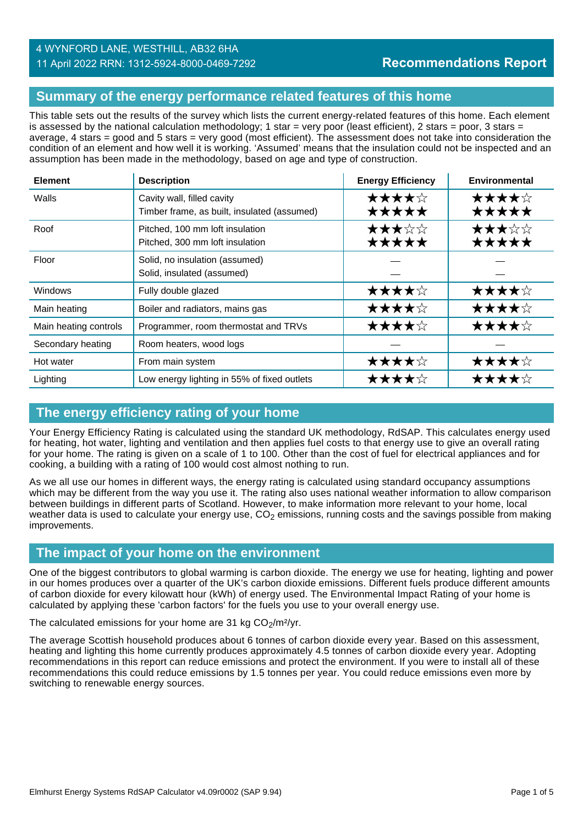# **Summary of the energy performance related features of this home**

This table sets out the results of the survey which lists the current energy-related features of this home. Each element is assessed by the national calculation methodology; 1 star = very poor (least efficient), 2 stars = poor, 3 stars = average, 4 stars = good and 5 stars = very good (most efficient). The assessment does not take into consideration the condition of an element and how well it is working. 'Assumed' means that the insulation could not be inspected and an assumption has been made in the methodology, based on age and type of construction.

| <b>Element</b>        | <b>Description</b>                                                        | <b>Energy Efficiency</b> | Environmental  |
|-----------------------|---------------------------------------------------------------------------|--------------------------|----------------|
| Walls                 | Cavity wall, filled cavity<br>Timber frame, as built, insulated (assumed) | ★★★★☆<br>★★★★★           | ★★★★☆<br>★★★★★ |
| Roof                  | Pitched, 100 mm loft insulation<br>Pitched, 300 mm loft insulation        | ★★★☆☆<br>★★★★★           | ★★★☆☆<br>★★★★★ |
| Floor                 | Solid, no insulation (assumed)<br>Solid, insulated (assumed)              |                          |                |
| Windows               | Fully double glazed                                                       | ★★★★☆                    | ★★★★☆          |
| Main heating          | Boiler and radiators, mains gas                                           | ★★★★☆                    | ★★★★☆          |
| Main heating controls | Programmer, room thermostat and TRVs                                      | ★★★★☆                    | ★★★★☆          |
| Secondary heating     | Room heaters, wood logs                                                   |                          |                |
| Hot water             | From main system                                                          | ★★★★☆                    | ★★★★☆          |
| Lighting              | Low energy lighting in 55% of fixed outlets                               | ★★★★☆                    | ★★★★☆          |

### **The energy efficiency rating of your home**

Your Energy Efficiency Rating is calculated using the standard UK methodology, RdSAP. This calculates energy used for heating, hot water, lighting and ventilation and then applies fuel costs to that energy use to give an overall rating for your home. The rating is given on a scale of 1 to 100. Other than the cost of fuel for electrical appliances and for cooking, a building with a rating of 100 would cost almost nothing to run.

As we all use our homes in different ways, the energy rating is calculated using standard occupancy assumptions which may be different from the way you use it. The rating also uses national weather information to allow comparison between buildings in different parts of Scotland. However, to make information more relevant to your home, local weather data is used to calculate your energy use,  $CO<sub>2</sub>$  emissions, running costs and the savings possible from making improvements.

### **The impact of your home on the environment**

One of the biggest contributors to global warming is carbon dioxide. The energy we use for heating, lighting and power in our homes produces over a quarter of the UK's carbon dioxide emissions. Different fuels produce different amounts of carbon dioxide for every kilowatt hour (kWh) of energy used. The Environmental Impact Rating of your home is calculated by applying these 'carbon factors' for the fuels you use to your overall energy use.

The calculated emissions for your home are 31 kg  $CO<sub>2</sub>/m<sup>2</sup>/yr$ .

The average Scottish household produces about 6 tonnes of carbon dioxide every year. Based on this assessment, heating and lighting this home currently produces approximately 4.5 tonnes of carbon dioxide every year. Adopting recommendations in this report can reduce emissions and protect the environment. If you were to install all of these recommendations this could reduce emissions by 1.5 tonnes per year. You could reduce emissions even more by switching to renewable energy sources.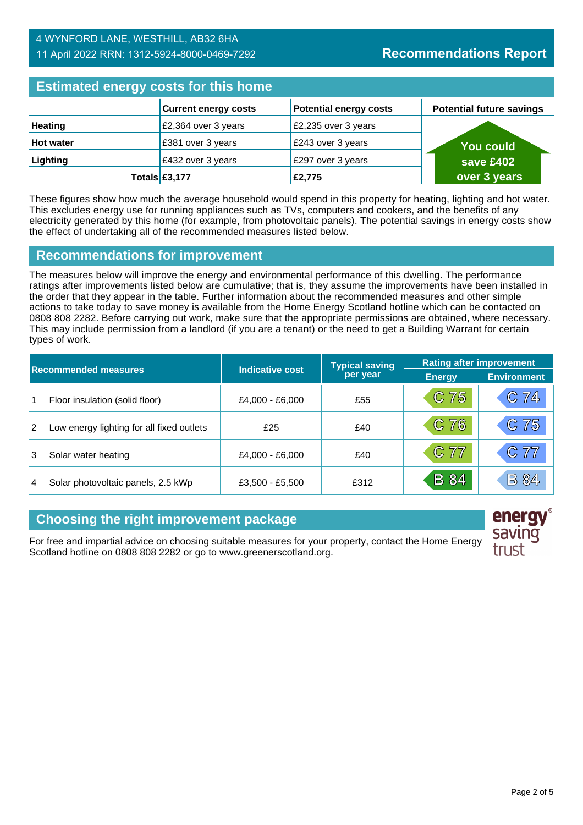### 4 WYNFORD LANE, WESTHILL, AB32 6HA 11 April 2022 RRN: 1312-5924-8000-0469-7292

# **Estimated energy costs for this home**

| <b>EDMINIOU ONGLASS COOLD TOT MIND HOMEO</b> |                             |                               |                                 |  |
|----------------------------------------------|-----------------------------|-------------------------------|---------------------------------|--|
|                                              | <b>Current energy costs</b> | <b>Potential energy costs</b> | <b>Potential future savings</b> |  |
| <b>Heating</b>                               | £2,364 over 3 years         | £2,235 over 3 years           |                                 |  |
| <b>Hot water</b>                             | E381 over 3 years           | £243 over 3 years             | <b>You could</b>                |  |
| Lighting                                     | £432 over 3 years           | £297 over 3 years             | save £402                       |  |
|                                              | Totals $£3,177$             | £2,775                        | over 3 years                    |  |

These figures show how much the average household would spend in this property for heating, lighting and hot water. This excludes energy use for running appliances such as TVs, computers and cookers, and the benefits of any electricity generated by this home (for example, from photovoltaic panels). The potential savings in energy costs show the effect of undertaking all of the recommended measures listed below.

# **Recommendations for improvement**

The measures below will improve the energy and environmental performance of this dwelling. The performance ratings after improvements listed below are cumulative; that is, they assume the improvements have been installed in the order that they appear in the table. Further information about the recommended measures and other simple actions to take today to save money is available from the Home Energy Scotland hotline which can be contacted on 0808 808 2282. Before carrying out work, make sure that the appropriate permissions are obtained, where necessary. This may include permission from a landlord (if you are a tenant) or the need to get a Building Warrant for certain types of work.

| <b>Recommended measures</b> |                                           |                        | <b>Typical saving</b> | <b>Rating after improvement</b> |                    |
|-----------------------------|-------------------------------------------|------------------------|-----------------------|---------------------------------|--------------------|
|                             |                                           | <b>Indicative cost</b> | per year              | <b>Energy</b>                   | <b>Environment</b> |
| 1                           | Floor insulation (solid floor)            | £4,000 - £6,000        | £55                   | $C$ 75                          | C74                |
| 2                           | Low energy lighting for all fixed outlets | £25                    | £40                   | C 76                            | C 75               |
| 3                           | Solar water heating                       | £4,000 - £6,000        | £40                   | C77                             | C77                |
| 4                           | Solar photovoltaic panels, 2.5 kWp        | £3,500 - £5,500        | £312                  | <b>B</b> 84                     | <b>B 84</b>        |

# **Choosing the right improvement package**

For free and impartial advice on choosing suitable measures for your property, contact the Home Energy Scotland hotline on 0808 808 2282 or go to www.greenerscotland.org.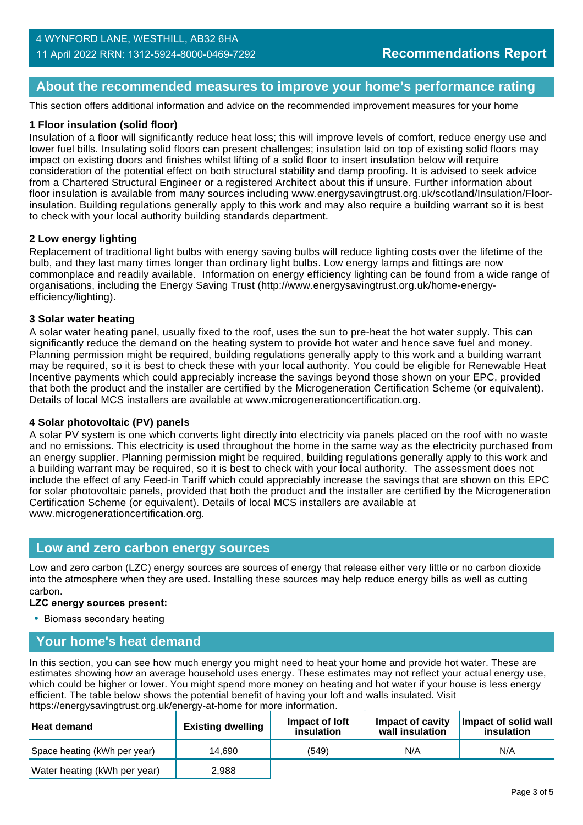# **About the recommended measures to improve your home's performance rating**

This section offers additional information and advice on the recommended improvement measures for your home

### **1 Floor insulation (solid floor)**

Insulation of a floor will significantly reduce heat loss; this will improve levels of comfort, reduce energy use and lower fuel bills. Insulating solid floors can present challenges; insulation laid on top of existing solid floors may impact on existing doors and finishes whilst lifting of a solid floor to insert insulation below will require consideration of the potential effect on both structural stability and damp proofing. It is advised to seek advice from a Chartered Structural Engineer or a registered Architect about this if unsure. Further information about floor insulation is available from many sources including www.energysavingtrust.org.uk/scotland/Insulation/Floorinsulation. Building regulations generally apply to this work and may also require a building warrant so it is best to check with your local authority building standards department.

### **2 Low energy lighting**

Replacement of traditional light bulbs with energy saving bulbs will reduce lighting costs over the lifetime of the bulb, and they last many times longer than ordinary light bulbs. Low energy lamps and fittings are now commonplace and readily available. Information on energy efficiency lighting can be found from a wide range of organisations, including the Energy Saving Trust (http://www.energysavingtrust.org.uk/home-energyefficiency/lighting).

#### **3 Solar water heating**

A solar water heating panel, usually fixed to the roof, uses the sun to pre-heat the hot water supply. This can significantly reduce the demand on the heating system to provide hot water and hence save fuel and money. Planning permission might be required, building regulations generally apply to this work and a building warrant may be required, so it is best to check these with your local authority. You could be eligible for Renewable Heat Incentive payments which could appreciably increase the savings beyond those shown on your EPC, provided that both the product and the installer are certified by the Microgeneration Certification Scheme (or equivalent). Details of local MCS installers are available at www.microgenerationcertification.org.

### **4 Solar photovoltaic (PV) panels**

A solar PV system is one which converts light directly into electricity via panels placed on the roof with no waste and no emissions. This electricity is used throughout the home in the same way as the electricity purchased from an energy supplier. Planning permission might be required, building regulations generally apply to this work and a building warrant may be required, so it is best to check with your local authority. The assessment does not include the effect of any Feed-in Tariff which could appreciably increase the savings that are shown on this EPC for solar photovoltaic panels, provided that both the product and the installer are certified by the Microgeneration Certification Scheme (or equivalent). Details of local MCS installers are available at www.microgenerationcertification.org.

### **Low and zero carbon energy sources**

Low and zero carbon (LZC) energy sources are sources of energy that release either very little or no carbon dioxide into the atmosphere when they are used. Installing these sources may help reduce energy bills as well as cutting carbon.

### **LZC energy sources present:**

• Biomass secondary heating

### **Your home's heat demand**

In this section, you can see how much energy you might need to heat your home and provide hot water. These are estimates showing how an average household uses energy. These estimates may not reflect your actual energy use, which could be higher or lower. You might spend more money on heating and hot water if your house is less energy efficient. The table below shows the potential benefit of having your loft and walls insulated. Visit https://energysavingtrust.org.uk/energy-at-home for more information.

| <b>Heat demand</b>           | <b>Existing dwelling</b> | Impact of Joft<br>insulation | Impact of cavity<br>wall insulation | Impact of solid wall<br>insulation |
|------------------------------|--------------------------|------------------------------|-------------------------------------|------------------------------------|
| Space heating (kWh per year) | 14.690                   | (549)                        | N/A                                 | N/A                                |
| Water heating (kWh per year) | 2.988                    |                              |                                     |                                    |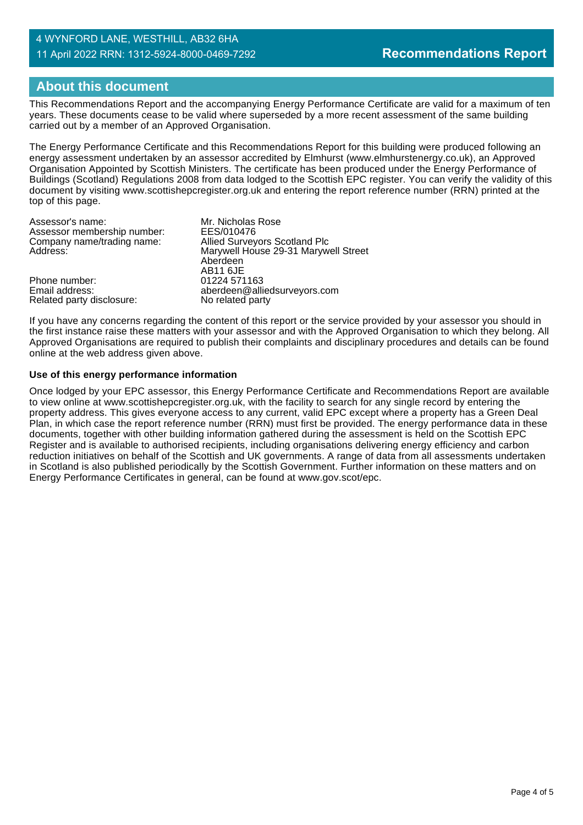### 4 WYNFORD LANE, WESTHILL, AB32 6HA 11 April 2022 RRN: 1312-5924-8000-0469-7292

# **About this document**

This Recommendations Report and the accompanying Energy Performance Certificate are valid for a maximum of ten years. These documents cease to be valid where superseded by a more recent assessment of the same building carried out by a member of an Approved Organisation.

The Energy Performance Certificate and this Recommendations Report for this building were produced following an energy assessment undertaken by an assessor accredited by Elmhurst (www.elmhurstenergy.co.uk), an Approved Organisation Appointed by Scottish Ministers. The certificate has been produced under the Energy Performance of Buildings (Scotland) Regulations 2008 from data lodged to the Scottish EPC register. You can verify the validity of this document by visiting www.scottishepcregister.org.uk and entering the report reference number (RRN) printed at the top of this page.

| Assessor's name:            | Mr. Nicholas Rose                    |
|-----------------------------|--------------------------------------|
| Assessor membership number: | EES/010476                           |
| Company name/trading name:  | <b>Allied Surveyors Scotland Plc</b> |
| Address:                    | Marywell House 29-31 Marywell Street |
|                             | Aberdeen<br>AB11 6JE                 |
| Phone number:               | 01224 571163                         |
| Email address:              | aberdeen@alliedsurveyors.com         |
| Related party disclosure:   | No related party                     |

If you have any concerns regarding the content of this report or the service provided by your assessor you should in the first instance raise these matters with your assessor and with the Approved Organisation to which they belong. All Approved Organisations are required to publish their complaints and disciplinary procedures and details can be found online at the web address given above.

### **Use of this energy performance information**

Once lodged by your EPC assessor, this Energy Performance Certificate and Recommendations Report are available to view online at www.scottishepcregister.org.uk, with the facility to search for any single record by entering the property address. This gives everyone access to any current, valid EPC except where a property has a Green Deal Plan, in which case the report reference number (RRN) must first be provided. The energy performance data in these documents, together with other building information gathered during the assessment is held on the Scottish EPC Register and is available to authorised recipients, including organisations delivering energy efficiency and carbon reduction initiatives on behalf of the Scottish and UK governments. A range of data from all assessments undertaken in Scotland is also published periodically by the Scottish Government. Further information on these matters and on Energy Performance Certificates in general, can be found at www.gov.scot/epc.